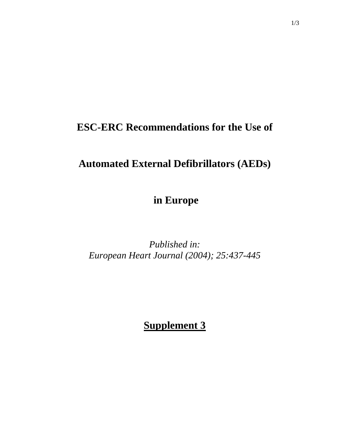## **ESC-ERC Recommendations for the Use of**

## **Automated External Defibrillators (AEDs)**

 **in Europe** 

*Published in: European Heart Journal (2004); 25:437-445* 

**Supplement 3**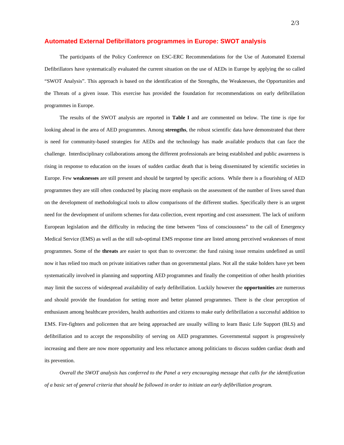## **Automated External Defibrillators programmes in Europe: SWOT analysis**

The participants of the Policy Conference on ESC-ERC Recommendations for the Use of Automated External Defibrillators have systematically evaluated the current situation on the use of AEDs in Europe by applying the so called "SWOT Analysis". This approach is based on the identification of the Strengths, the Weaknesses, the Opportunities and the Threats of a given issue. This exercise has provided the foundation for recommendations on early defibrillation programmes in Europe.

The results of the SWOT analysis are reported in **Table I** and are commented on below. The time is ripe for looking ahead in the area of AED programmes. Among **strengths**, the robust scientific data have demonstrated that there is need for community-based strategies for AEDs and the technology has made available products that can face the challenge. Interdisciplinary collaborations among the different professionals are being established and public awareness is rising in response to education on the issues of sudden cardiac death that is being disseminated by scientific societies in Europe. Few **weaknesses** are still present and should be targeted by specific actions. While there is a flourishing of AED programmes they are still often conducted by placing more emphasis on the assessment of the number of lives saved than on the development of methodological tools to allow comparisons of the different studies. Specifically there is an urgent need for the development of uniform schemes for data collection, event reporting and cost assessment. The lack of uniform European legislation and the difficulty in reducing the time between "loss of consciousness" to the call of Emergency Medical Service (EMS) as well as the still sub-optimal EMS response time are listed among perceived weaknesses of most programmes. Some of the **threats** are easier to spot than to overcome: the fund raising issue remains undefined as until now it has relied too much on private initiatives rather than on governmental plans. Not all the stake holders have yet been systematically involved in planning and supporting AED programmes and finally the competition of other health priorities may limit the success of widespread availability of early defibrillation. Luckily however the **opportunities** are numerous and should provide the foundation for setting more and better planned programmes. There is the clear perception of enthusiasm among healthcare providers, health authorities and citizens to make early defibrillation a successful addition to EMS. Fire-fighters and policemen that are being approached are usually willing to learn Basic Life Support (BLS) and defibrillation and to accept the responsibility of serving on AED programmes. Governmental support is progressively increasing and there are now more opportunity and less reluctance among politicians to discuss sudden cardiac death and its prevention.

*Overall the SWOT analysis has conferred to the Panel a very encouraging message that calls for the identification of a basic set of general criteria that should be followed in order to initiate an early defibrillation program.*